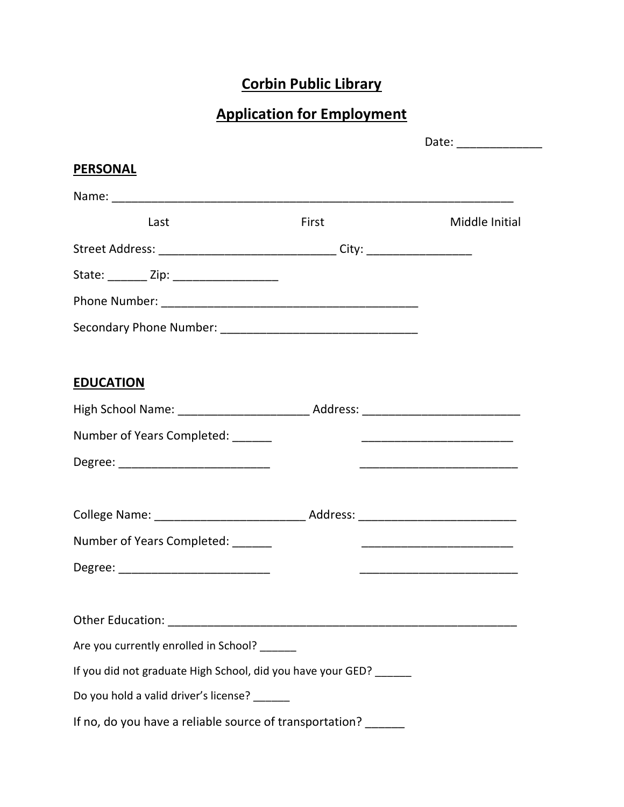# Corbin Public Library

## Application for Employment

|                                                                                  | Date: _______________ |                |
|----------------------------------------------------------------------------------|-----------------------|----------------|
| <b>PERSONAL</b>                                                                  |                       |                |
|                                                                                  |                       |                |
| Last                                                                             | First                 | Middle Initial |
| Street Address: __________________________________City: ________________________ |                       |                |
|                                                                                  |                       |                |
|                                                                                  |                       |                |
|                                                                                  |                       |                |
| <b>EDUCATION</b>                                                                 |                       |                |
|                                                                                  |                       |                |
| Number of Years Completed: ______                                                |                       |                |
| Degree: __________________________________                                       |                       |                |
|                                                                                  |                       |                |
| Number of Years Completed: ______                                                |                       |                |
| Degree: ___________________________                                              |                       |                |
|                                                                                  |                       |                |
| Are you currently enrolled in School? ______                                     |                       |                |
| If you did not graduate High School, did you have your GED? ______               |                       |                |
| Do you hold a valid driver's license?                                            |                       |                |
| If no, do you have a reliable source of transportation? ______                   |                       |                |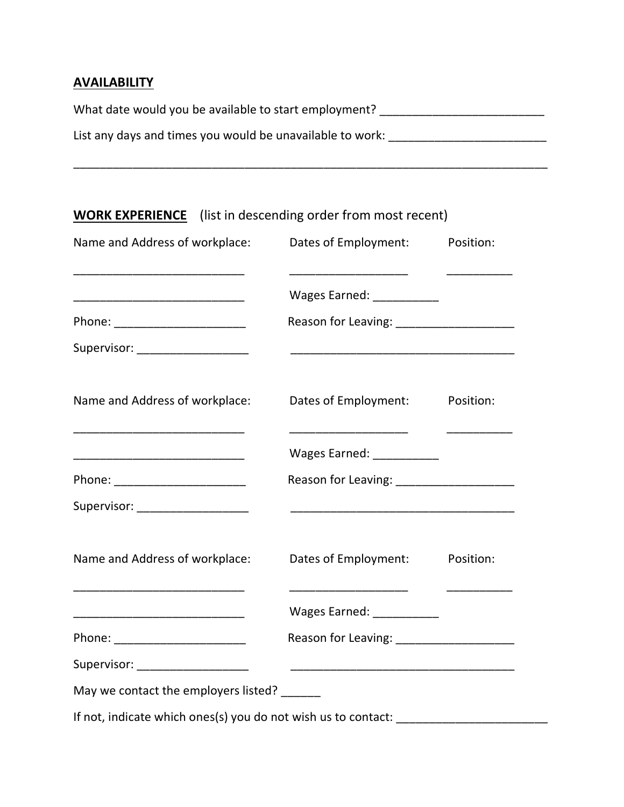#### **AVAILABILITY**

| What date would you be available to start employment?     |  |
|-----------------------------------------------------------|--|
| List any days and times you would be unavailable to work: |  |

\_\_\_\_\_\_\_\_\_\_\_\_\_\_\_\_\_\_\_\_\_\_\_\_\_\_\_\_\_\_\_\_\_\_\_\_\_\_\_\_\_\_\_\_\_\_\_\_\_\_\_\_\_\_\_\_\_\_\_\_\_\_\_\_\_\_\_\_\_\_\_\_

| Name and Address of workplace:                                        | Dates of Employment:                                                                                                                                                                                                                 | Position: |
|-----------------------------------------------------------------------|--------------------------------------------------------------------------------------------------------------------------------------------------------------------------------------------------------------------------------------|-----------|
|                                                                       | Wages Earned: __________                                                                                                                                                                                                             |           |
|                                                                       | Reason for Leaving: ______________________                                                                                                                                                                                           |           |
| Supervisor: ____________________                                      | <u> 2008 - Johann Harry Harry Harry Harry Harry Harry Harry Harry Harry Harry Harry Harry Harry Harry Harry Harry Harry Harry Harry Harry Harry Harry Harry Harry Harry Harry Harry Harry Harry Harry Harry Harry Harry Harry Ha</u> |           |
| Name and Address of workplace:                                        | Dates of Employment:                                                                                                                                                                                                                 | Position: |
|                                                                       | Wages Earned: ___________                                                                                                                                                                                                            |           |
| Phone: ________________________                                       | Reason for Leaving: ______________________                                                                                                                                                                                           |           |
| Supervisor: ___________________                                       |                                                                                                                                                                                                                                      |           |
| Name and Address of workplace:                                        | Dates of Employment: Position:                                                                                                                                                                                                       |           |
| <u> 1999 - Johann John Stone, mars eta biztanleria (</u>              | Wages Earned: __________                                                                                                                                                                                                             |           |
| Phone: ________________________                                       | Reason for Leaving: ______________________                                                                                                                                                                                           |           |
| Supervisor: __________________                                        |                                                                                                                                                                                                                                      |           |
| May we contact the employers listed? ______                           |                                                                                                                                                                                                                                      |           |
| If not, indicate which ones(s) you do not wish us to contact: _______ |                                                                                                                                                                                                                                      |           |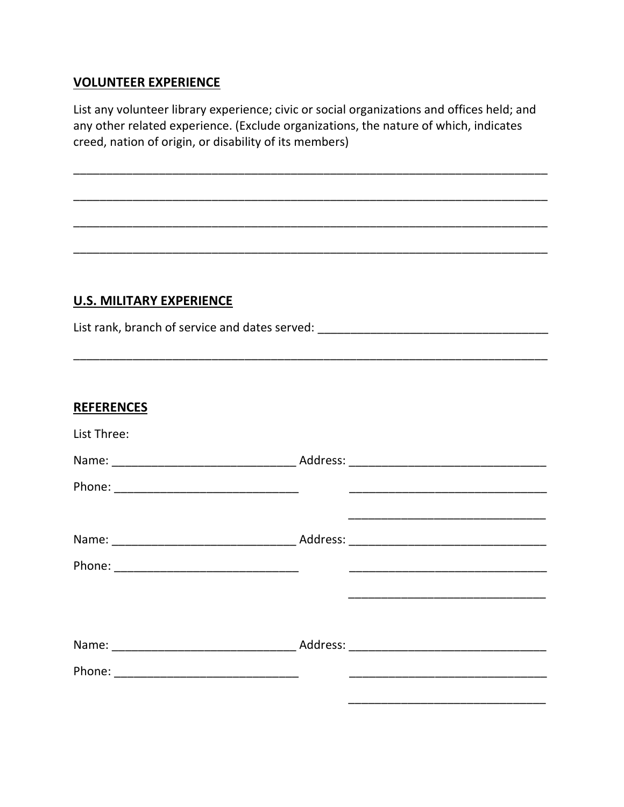#### **VOLUNTEER EXPERIENCE**

List any volunteer library experience; civic or social organizations and offices held; and any other related experience. (Exclude organizations, the nature of which, indicates creed, nation of origin, or disability of its members)

### **U.S. MILITARY EXPERIENCE**

List rank, branch of service and dates served: \_\_\_\_\_\_\_\_\_\_\_\_\_\_\_\_\_\_\_\_\_\_\_\_\_\_\_\_\_\_\_\_\_\_

| <b>REFERENCES</b> |  |
|-------------------|--|
| List Three:       |  |
|                   |  |
|                   |  |
|                   |  |
|                   |  |
|                   |  |
|                   |  |
|                   |  |
|                   |  |
|                   |  |
|                   |  |
|                   |  |